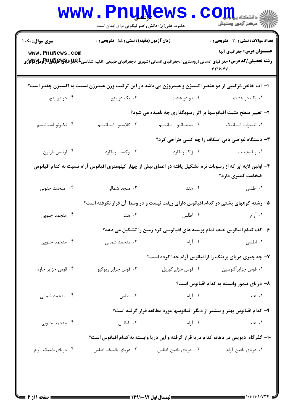|                        | <b>WWW.PNUWEWS</b><br>حضرت علی(ع): دانش راهبر نیکویی برای ایمان است |                                                                                                     | $\text{C}$ Oill<br>راز آمرڪز آزمون وسنڊش                                                                                                                                         |
|------------------------|---------------------------------------------------------------------|-----------------------------------------------------------------------------------------------------|----------------------------------------------------------------------------------------------------------------------------------------------------------------------------------|
| <b>سری سوال :</b> یک ۱ | زمان آزمون (دقیقه) : تستی : 55 آتشریحی : 0                          |                                                                                                     | <b>تعداد سوالات : تستی : 30 ٪ تشریحی : 0</b>                                                                                                                                     |
| www.PnuNews.com        |                                                                     |                                                                                                     | <b>عنـــوان درس:</b> جغرافیای آبها<br><b>رشته تحصیلی/کد درس:</b> جغرافیای انسانی (روستایی )،جغرافیای انسانی (شهری )،جغرافیای طبیعی (اقلیم شناسیCبهایاللهایاللها<br>.<br>)1119.94 |
|                        |                                                                     |                                                                                                     | ا– آب خالص،ترکیبی از دو عنصر اکسیژن و هیدروژن می باشد.در این ترکیب وزن هیدرژن نسبت به اکسیژن چقدر است؟                                                                           |
| ۰۴ دو در پنج           | ۰۳ يک در پنج                                                        | ۰۲ دو در هشت                                                                                        | ۰۱ یک در هشت                                                                                                                                                                     |
|                        |                                                                     |                                                                                                     | ۲- تغییر سطح مثبت اقیانوسها بر اثر رسوبگذاری چه نامیده می شود؟                                                                                                                   |
| ۰۴ تکتونو-استاتیسم     | ۰۳ گلاسيو-استاتيسم                                                  | ۰۲ سدیمانتو اساتیسم                                                                                 | ٠١ تغييرات استاتيك                                                                                                                                                               |
|                        |                                                                     |                                                                                                     | <b>۳</b> - دستگاه غواصی باتی اسکاف را چه کسی طراحی کرد؟                                                                                                                          |
| ۰۴ اوتیس بارتون        | ۰۳ اوگست پیکارد                                                     | ۰۲ ژاک پیکارد                                                                                       | ٠١ ويليام بيت                                                                                                                                                                    |
|                        |                                                                     |                                                                                                     | ۴– اولین لایه ای که از رسوبات نرم تشکیل یافته در اعماق بیش از چهار کیلومتری اقیانوس آرام نسبت به کدام اقیانوس<br>ضخامت کمتری دارد؟                                               |
| ۰۴ منجمد جنوبی         | ۰۳ منجد شمالی                                                       |                                                                                                     | ٠١ اطلس . ٢٠ هند                                                                                                                                                                 |
|                        |                                                                     |                                                                                                     | ۵– رشته کوههای پشتی در کدام اقیانوس دارای ریفت نیست و در وسط آن قرار نگرفته است؟                                                                                                 |
| ۰۴ منجمد جنوبی         | ۰۳ هند                                                              | ۰۲ اطلس                                                                                             | ۰۱ آرام                                                                                                                                                                          |
|                        |                                                                     |                                                                                                     | ۶– کف کدام اقیانوس نصف تمام پوسته های اقیانوسی کره زمین را تشکیل می دهد؟                                                                                                         |
| ۰۴ منجمد جنوبی         | ۰۳ منجمد شمالی                                                      | ۰۲ آرام است. سال ۱۲ آرام است که برای است که است که است که است که است که است که است که است که است که | ٠١ اطلس                                                                                                                                                                          |
|                        |                                                                     |                                                                                                     | ۷- چه چیزی دریای برینگ را ازاقیانوس آرام جدا کرده است؟                                                                                                                           |
| ۰۴ قوس جزاير جاوه      | ۰۳ قوس جزایر ریوکیو                                                 |                                                                                                     | ٠١ قوس جزايرآلئوسين مسمح ٢٠ قوس جزاير كوريل                                                                                                                                      |
|                        |                                                                     |                                                                                                     | ۸– دریای تیمور وابسته به کدام اقیانوس است؟                                                                                                                                       |
| ۰۴ منجمد شمالی         | ۰۳ اطلس                                                             | ۰۲ آرام                                                                                             | ۱. هند                                                                                                                                                                           |
|                        |                                                                     |                                                                                                     | ۹– کدام اقیانوس بهتر و بیشتر از دیگر اقیانوسها مورد مطالعه قرار گرفته است؟                                                                                                       |
| ۰۴ منجمد جنوبی         | ۰۳ اطلس                                                             | ۰۲ آرام                                                                                             | ۰۱ هند                                                                                                                                                                           |
|                        |                                                                     |                                                                                                     | ۱۰- گذرگاه دیویس در دهانه کدام دریا قرار گرفته و این دریا وابسته به کدام اقیانوس است؟                                                                                            |
| ۰۴ دریای بالتیک-آرام   | ۰۳ دریای بالتیک-اطلس                                                | ۰۲ دریای بافین-اطلس                                                                                 | ۰۱ دریای بافین-آرام                                                                                                                                                              |
|                        |                                                                     |                                                                                                     |                                                                                                                                                                                  |
|                        |                                                                     |                                                                                                     |                                                                                                                                                                                  |

 $1.1.11.1.1$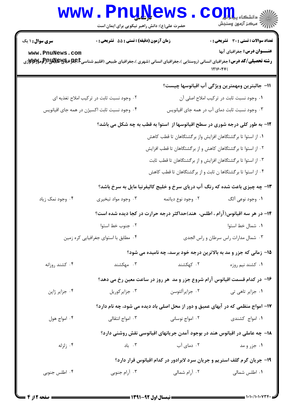|                        | www.PnuNews<br>حضرت علی(ع): دانش راهبر نیکویی برای ایمان است                                                                                     |                                                                                  | أأأأه مركز آزمون وسنجش                         |
|------------------------|--------------------------------------------------------------------------------------------------------------------------------------------------|----------------------------------------------------------------------------------|------------------------------------------------|
| <b>سری سوال : ۱ یک</b> | زمان آزمون (دقیقه) : تستی : 55 آتشریحی : 0                                                                                                       |                                                                                  | تعداد سوالات : تستي : 30 - تشريحي : 0          |
| www.PnuNews.com        | <b>رشته تحصیلی/کد درس:</b> جغرافیای انسانی (روستایی )،جغرافیای انسانی (شهری )،جغرافیای طبیعی (اقلیم شناسیCبابات او بایهاباللهابالوالومالاللاواژی |                                                                                  | عنـــوان درس: جغرافیای آبها<br>1719.94         |
|                        |                                                                                                                                                  |                                                                                  | 11- جالبترين ومهمترين ويژگى آب اقيانوسها چيست؟ |
|                        | ۰۲ وجود نسبت ثابت در ترکیب املاح تغذیه ای                                                                                                        |                                                                                  | ٠١ وجود نسبت ثابت در تركيب املاح اصلى آن       |
|                        | ۰۴ وجود نسبت ثابت اکسیژن در همه جای اقیانویس                                                                                                     |                                                                                  | ۰۳ وجود نسبت ثابت دمای آب در همه جای اقیانویس  |
|                        |                                                                                                                                                  | ۱۲- به طور کلی درجه شوری در سطح اقیانوسها از آستوا به قطب به چه شکل می باشد؟     |                                                |
|                        |                                                                                                                                                  | ۰۱ از استوا تا برگشتگاهان افزایش واز برگشتگاهان تا قطب کاهش                      |                                                |
|                        |                                                                                                                                                  | ۰۲ از استوا تا برگشتگاهان کاهش و از برگشتگاهان تا قطب افزایش                     |                                                |
|                        |                                                                                                                                                  | ۰۳ از استوا تا برگشتگاهان افزایش و از برگشتگاهان تا قطب ثابت                     |                                                |
|                        |                                                                                                                                                  | ۰۴ از استوا تا برگشتگاها ن ثابت و از برگشتگاهان تا قطب کاهش                      |                                                |
|                        |                                                                                                                                                  | ۱۳- چه چیزی باعث شده که رنگ آب دریای سرخ و خلیج کالیفرنیا مایل به سرخ باشد؟      |                                                |
| ۰۴ وجود نمک زیاد       | ۰۳ وجود مواد تبخيري                                                                                                                              | ۰۲ وجود نوع دیاتمه                                                               | ۰۱ وجود نوعي آلگ                               |
|                        |                                                                                                                                                  | ۱۴- در هر سه اقیانوس(آرام ، اطلس، هند)حداکثر درجه حرارت در کجا دیده شده است؟     |                                                |
|                        | ٠٢ جنوب خط استوا                                                                                                                                 |                                                                                  | ٠١. شمال خط استوا                              |
|                        | ۰۴ مطابق با استواى جغرافيايي كره زمين                                                                                                            |                                                                                  | ٠٣ شمال مدارات راس سرطان و راس الجدى           |
|                        |                                                                                                                                                  | 15- زمانی که جزر و مد به بالاترین درجه خود برسد، چه نامیده می شود؟               |                                                |
| ۰۴ کشند روزانه         | ۰۳ مهکشند                                                                                                                                        | ۰۲ کهکشند                                                                        | ۰۱ کشند نیم روزه                               |
|                        |                                                                                                                                                  | ۱۶– در کدام قسمت اقیانوس آرام شروع جزر و مد  هر روز در ساعت معین رخ می دهد؟      |                                                |
| ۰۴ جزایر ژاپن          | ۰۳ جزایر کوریل                                                                                                                                   | ۰۲ جزایرآلئوسن                                                                   | ۰۱ جزایر تاهی تی                               |
|                        |                                                                                                                                                  | ۱۷- امواج منظمی که در آبهای عمیق و دور از محل اصلی باد دیده می شود، چه نام دارد؟ |                                                |
| ۰۴ امواج هول           | ۰۳ امواج انتقالی                                                                                                                                 | ۰۲ امواج نوسانی                                                                  | ۰۱ امواج کشندی                                 |
|                        |                                                                                                                                                  | ۱۸– چه عاملی در اقیانوس هند در بوجود آمدن جریانهای اقیانوسی نقش روشنی دارد؟      |                                                |
| ۰۴ زلزله               | ۰۳ باد                                                                                                                                           | ۰۲ دمای آب                                                                       | ۱. جزر و مد                                    |
|                        |                                                                                                                                                  | ۱۹- جریان گرم گلف استریم و جریان سرد لابرادور در کدام اقیانوس قرار دارد؟         |                                                |
| ۰۴ اطلس جنوبی          | ۰۳ آرام جنوبی                                                                                                                                    | ۰۲ آرام شمالی                                                                    | ٠١. اطلس شمالي                                 |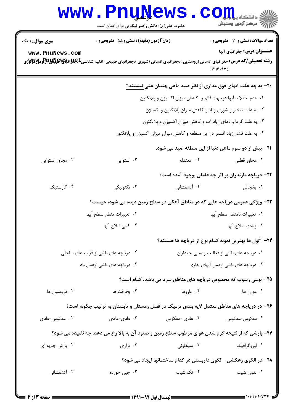|                                           | www.PnuNews<br>حضرت علی(ع): دانش راهبر نیکویی برای ایمان است                                                                 |                                                                                                                                                                                                                                                                           | ن<br>گ دانشگاه پ <b>یام نور</b><br>رآ - مرڪز آزمون وسنڊش                                                                                    |
|-------------------------------------------|------------------------------------------------------------------------------------------------------------------------------|---------------------------------------------------------------------------------------------------------------------------------------------------------------------------------------------------------------------------------------------------------------------------|---------------------------------------------------------------------------------------------------------------------------------------------|
| <b>سری سوال : ۱ یک</b><br>www.PnuNews.com | زمان آزمون (دقیقه) : تستی : 55 تشریحی : 0                                                                                    |                                                                                                                                                                                                                                                                           | <b>تعداد سوالات : تستی : 30 ٪ تشریحی : 0</b><br>عنـــوان درس: جغرافیای آبها<br>1719.94                                                      |
|                                           |                                                                                                                              | ۰۱ عدم اختلاط آبها درجهت قائم و کاهش میزان اکسیژن و پلانگتون<br>۰۲ به علت تبخیر و شوری زیاد و کاهش میزان پلانگتون و اکسیژن<br>۰۳ به علت گرما و دمای زیاد آب و کاهش میزان اکسیژن و پلانگتون<br>۰۴ به علت فشار زیاد اتسفر در این منطقه و کاهش میزان میزان اکسیژن و پلانگتون | +۲- به چه علت آبهای فوق مداری از نظر صید ماهی چندان غنی <u>نیستند؟</u>                                                                      |
| ۰۴ مجاور استوایی                          | ۰۳ استوایی                                                                                                                   | ٢. معتدله                                                                                                                                                                                                                                                                 | <b>۲۱</b> - بیش از دو سوم ماهی دنیا از این منطقه صید می شود.<br>۰۱ مجاور قطبی                                                               |
| ۰۴ کارستیک                                | ۰۳ تکتونیکی                                                                                                                  | ۰۲ آتشفشانی                                                                                                                                                                                                                                                               | ۲۲- دریاچه مازندران بر اثر چه عاملی بوجود آمده است؟<br>۰۱ يخچالى                                                                            |
|                                           | ۲۳- ویژگی عمومی دریاچه هایی که در مناطق آهکی در سطح زمین دیده می شود، چیست؟<br>٠٢ تغييرات منظم سطح آبها<br>۰۴ کمی املاح آنها |                                                                                                                                                                                                                                                                           | ٠١ تغييرات نامنظم سطح آبها<br>۰۳ زیادی املاح آنها                                                                                           |
|                                           | ۰۲ دریاچه های ناشی از فرایندهای ساحلی<br>۰۴ دریاچه های ناشی ازعمل باد                                                        |                                                                                                                                                                                                                                                                           | ۲۴– آتول ها بهترین نمونه کدام نوع از دریاچه ها هستند؟<br>۰۱ دریاچه های ناشی از فعالیت زیستی جانداران<br>۰۳ دریاچه های ناشی ازعمل آبهای جاری |
| ۰۴ دروملين ها                             | ۰۳ يخرفت ها                                                                                                                  | ۰۲ واروها                                                                                                                                                                                                                                                                 | ۲۵- نوعی رسوب که مخصوص دریاچه های مناطق سرد می باشد، کدام است؟<br>۰۱ مورن ها                                                                |
| ۰۴ معکوس-عادی                             | ۲۶– در دریاچه های مناطق معتدل لایه بندی ترمیک در فصل زمستان و تابستان به ترتیب چگونه است؟<br>۰۳ عادی-عادی                    | ۰۲ عادی -معکوس                                                                                                                                                                                                                                                            | ۰۱ معکوس-معکوس                                                                                                                              |
| ۰۴ بارش جبهه ای                           | ۲۷- بارشی که از نتیجه گرم شدن هوای مرطوب سطح زمین و صعود آن به بالا رخ می دهد، چه نامیده می شود؟<br>۰۳ فرازي                 | ۰۲ سیکلونی                                                                                                                                                                                                                                                                | ۰۱ اوروگرافیک<br>۲۸- در الگوی زهکشی، الگوی داربستی در کدام ساختمانها ایجاد می شود؟                                                          |
| ۰۴ آتشفشانی                               | ۰۳ چين خورده                                                                                                                 | ۰۲ تک شیب                                                                                                                                                                                                                                                                 | ۰۱ بدون شیب                                                                                                                                 |